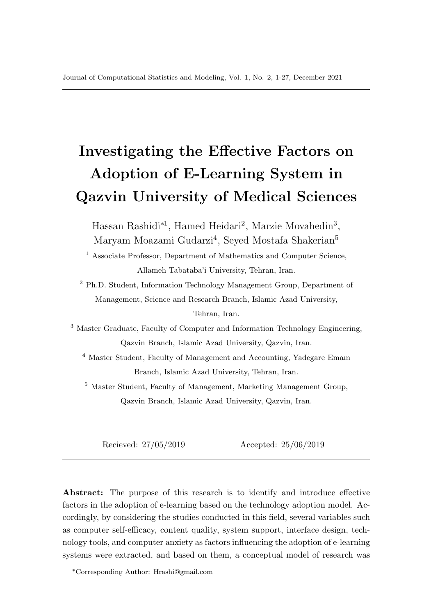# Investigating the Effective Factors on Adoption of E-Learning System in Qazvin University of Medical Sciences

Hassan Rashidi<sup>\*1</sup>, Hamed Heidari<sup>2</sup>, Marzie Movahedin<sup>3</sup>, Maryam Moazami Gudarzi<sup>4</sup>, Seyed Mostafa Shakerian<sup>5</sup>

<sup>1</sup> Associate Professor, Department of Mathematics and Computer Science, Allameh Tabataba'i University, Tehran, Iran.

<sup>2</sup> Ph.D. Student, Information Technology Management Group, Department of Management, Science and Research Branch, Islamic Azad University, Tehran, Iran.

<sup>3</sup> Master Graduate, Faculty of Computer and Information Technology Engineering, Qazvin Branch, Islamic Azad University, Qazvin, Iran.

<sup>4</sup> Master Student, Faculty of Management and Accounting, Yadegare Emam Branch, Islamic Azad University, Tehran, Iran.

<sup>5</sup> Master Student, Faculty of Management, Marketing Management Group, Qazvin Branch, Islamic Azad University, Qazvin, Iran.

Recieved: 27/05/2019 Accepted: 25/06/2019

Abstract: The purpose of this research is to identify and introduce effective factors in the adoption of e-learning based on the technology adoption model. Accordingly, by considering the studies conducted in this field, several variables such as computer self-efficacy, content quality, system support, interface design, technology tools, and computer anxiety as factors influencing the adoption of e-learning systems were extracted, and based on them, a conceptual model of research was

<sup>∗</sup>Corresponding Author: Hrashi@gmail.com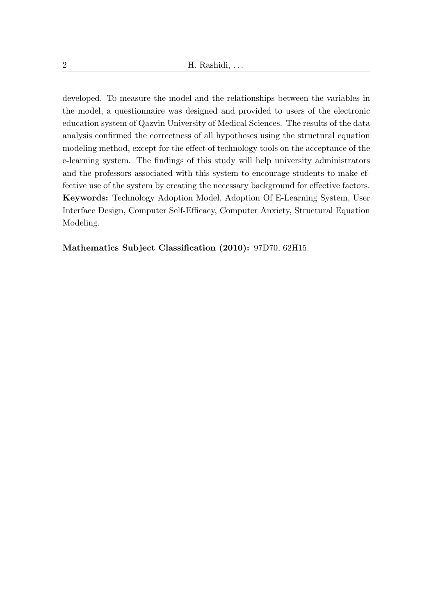developed. To measure the model and the relationships between the variables in the model, a questionnaire was designed and provided to users of the electronic education system of Qazvin University of Medical Sciences. The results of the data analysis confirmed the correctness of all hypotheses using the structural equation modeling method, except for the effect of technology tools on the acceptance of the e-learning system. The findings of this study will help university administrators and the professors associated with this system to encourage students to make effective use of the system by creating the necessary background for effective factors. Keywords: Technology Adoption Model, Adoption Of E-Learning System, User Interface Design, Computer Self-Efficacy, Computer Anxiety, Structural Equation Modeling.

Mathematics Subject Classification (2010): 97D70, 62H15.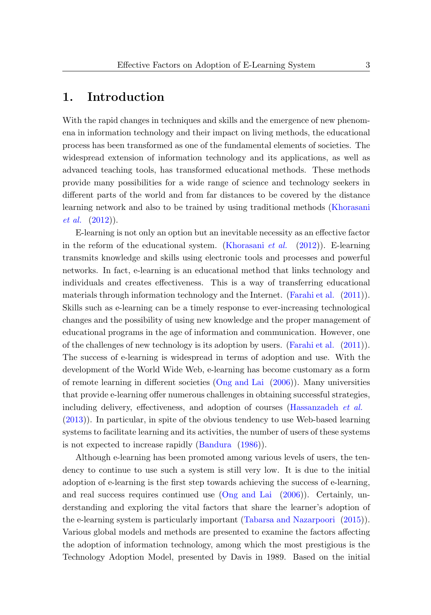## 1. Introduction

With the rapid changes in techniques and skills and the emergence of new phenomena in information technology and their impact on living methods, the educational process has been transformed as one of the fundamental elements of societies. The widespread extension of information technology and its applications, as well as advanced teaching tools, has transformed educational methods. These methods provide many possibilities for a wide range of science and technology seekers in different parts of the world and from far distances to be covered by the distance learning network and also to be trained by using traditional methods [\(Khorasani](#page-25-0) [et al.](#page-25-0) [\(2012\)](#page-25-0)).

E-learning is not only an option but an inevitable necessity as an effective factor in the reform of the educational system. [\(Khorasani](#page-25-0) *et al.*  $(2012)$ ). E-learning transmits knowledge and skills using electronic tools and processes and powerful networks. In fact, e-learning is an educational method that links technology and individuals and creates effectiveness. This is a way of transferring educational materials through information technology and the Internet. [\(Farahi et al.](#page-24-0) [\(2011\)](#page-24-0)). Skills such as e-learning can be a timely response to ever-increasing technological changes and the possibility of using new knowledge and the proper management of educational programs in the age of information and communication. However, one of the challenges of new technology is its adoption by users. [\(Farahi et al.](#page-24-0) [\(2011\)](#page-24-0)). The success of e-learning is widespread in terms of adoption and use. With the development of the World Wide Web, e-learning has become customary as a form of remote learning in different societies [\(Ong and Lai](#page-25-1) [\(2006\)](#page-25-1)). Many universities that provide e-learning offer numerous challenges in obtaining successful strategies, including delivery, effectiveness, and adoption of courses [\(Hassanzadeh](#page-24-1) et al. [\(2013\)](#page-24-1)). In particular, in spite of the obvious tendency to use Web-based learning systems to facilitate learning and its activities, the number of users of these systems is not expected to increase rapidly [\(Bandura](#page-23-0) [\(1986\)](#page-23-0)).

Although e-learning has been promoted among various levels of users, the tendency to continue to use such a system is still very low. It is due to the initial adoption of e-learning is the first step towards achieving the success of e-learning, and real success requires continued use [\(Ong and Lai](#page-25-1) [\(2006\)](#page-25-1)). Certainly, understanding and exploring the vital factors that share the learner's adoption of the e-learning system is particularly important [\(Tabarsa and Nazarpoori](#page-26-0) [\(2015\)](#page-26-0)). Various global models and methods are presented to examine the factors affecting the adoption of information technology, among which the most prestigious is the Technology Adoption Model, presented by Davis in 1989. Based on the initial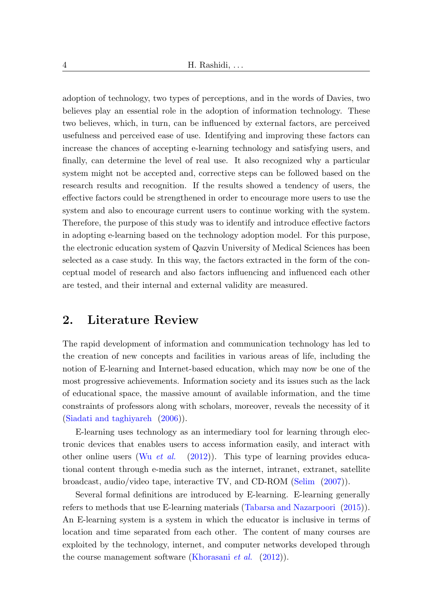adoption of technology, two types of perceptions, and in the words of Davies, two believes play an essential role in the adoption of information technology. These two believes, which, in turn, can be influenced by external factors, are perceived usefulness and perceived ease of use. Identifying and improving these factors can increase the chances of accepting e-learning technology and satisfying users, and finally, can determine the level of real use. It also recognized why a particular system might not be accepted and, corrective steps can be followed based on the research results and recognition. If the results showed a tendency of users, the effective factors could be strengthened in order to encourage more users to use the system and also to encourage current users to continue working with the system. Therefore, the purpose of this study was to identify and introduce effective factors in adopting e-learning based on the technology adoption model. For this purpose, the electronic education system of Qazvin University of Medical Sciences has been selected as a case study. In this way, the factors extracted in the form of the conceptual model of research and also factors influencing and influenced each other are tested, and their internal and external validity are measured.

## 2. Literature Review

The rapid development of information and communication technology has led to the creation of new concepts and facilities in various areas of life, including the notion of E-learning and Internet-based education, which may now be one of the most progressive achievements. Information society and its issues such as the lack of educational space, the massive amount of available information, and the time constraints of professors along with scholars, moreover, reveals the necessity of it [\(Siadati and taghiyareh](#page-25-2) [\(2006\)](#page-25-2)).

E-learning uses technology as an intermediary tool for learning through electronic devices that enables users to access information easily, and interact with other online users (Wu *[et al.](#page-26-1)* [\(2012\)](#page-26-1)). This type of learning provides educational content through e-media such as the internet, intranet, extranet, satellite broadcast, audio/video tape, interactive TV, and CD-ROM [\(Selim](#page-25-3) [\(2007\)](#page-25-3)).

Several formal definitions are introduced by E-learning. E-learning generally refers to methods that use E-learning materials [\(Tabarsa and Nazarpoori](#page-26-0) [\(2015\)](#page-26-0)). An E-learning system is a system in which the educator is inclusive in terms of location and time separated from each other. The content of many courses are exploited by the technology, internet, and computer networks developed through the course management software [\(Khorasani](#page-25-0) *et al.*  $(2012)$ ).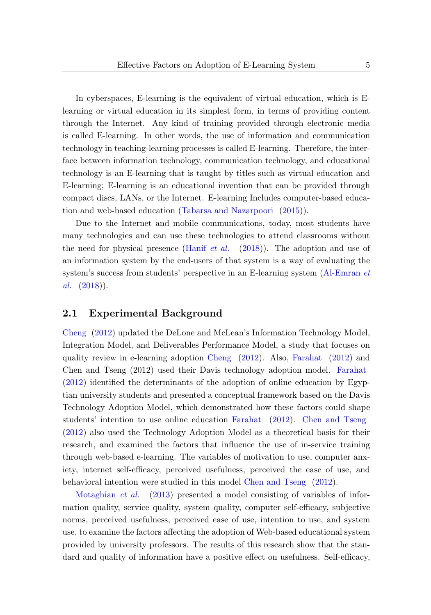In cyberspaces, E-learning is the equivalent of virtual education, which is Elearning or virtual education in its simplest form, in terms of providing content through the Internet. Any kind of training provided through electronic media is called E-learning. In other words, the use of information and communication technology in teaching-learning processes is called E-learning. Therefore, the interface between information technology, communication technology, and educational technology is an E-learning that is taught by titles such as virtual education and E-learning; E-learning is an educational invention that can be provided through compact discs, LANs, or the Internet. E-learning Includes computer-based education and web-based education [\(Tabarsa and Nazarpoori](#page-26-0) [\(2015\)](#page-26-0)).

Due to the Internet and mobile communications, today, most students have many technologies and can use these technologies to attend classrooms without the need for physical presence [\(Hanif](#page-24-2) et al.  $(2018)$ ). The adoption and use of an information system by the end-users of that system is a way of evaluating the system's success from students' perspective in an E-learning system [\(Al-Emran](#page-23-1) et [al.](#page-23-1)  $(2018)$ .

#### 2.1 Experimental Background

[Cheng](#page-23-2) [\(2012\)](#page-23-2) updated the DeLone and McLean's Information Technology Model, Integration Model, and Deliverables Performance Model, a study that focuses on quality review in e-learning adoption [Cheng](#page-23-2) [\(2012\)](#page-23-2). Also, [Farahat](#page-24-3) [\(2012\)](#page-24-3) and Chen and Tseng (2012) used their Davis technology adoption model. [Farahat](#page-24-3) [\(2012\)](#page-24-3) identified the determinants of the adoption of online education by Egyptian university students and presented a conceptual framework based on the Davis Technology Adoption Model, which demonstrated how these factors could shape students' intention to use online education [Farahat](#page-24-3) [\(2012\)](#page-24-3). [Chen and Tseng](#page-23-3) [\(2012\)](#page-23-3) also used the Technology Adoption Model as a theoretical basis for their research, and examined the factors that influence the use of in-service training through web-based e-learning. The variables of motivation to use, computer anxiety, internet self-efficacy, perceived usefulness, perceived the ease of use, and behavioral intention were studied in this model [Chen and Tseng](#page-23-3) [\(2012\)](#page-23-3).

[Motaghian](#page-25-4) *et al.* [\(2013\)](#page-25-4) presented a model consisting of variables of information quality, service quality, system quality, computer self-efficacy, subjective norms, perceived usefulness, perceived ease of use, intention to use, and system use, to examine the factors affecting the adoption of Web-based educational system provided by university professors. The results of this research show that the standard and quality of information have a positive effect on usefulness. Self-efficacy,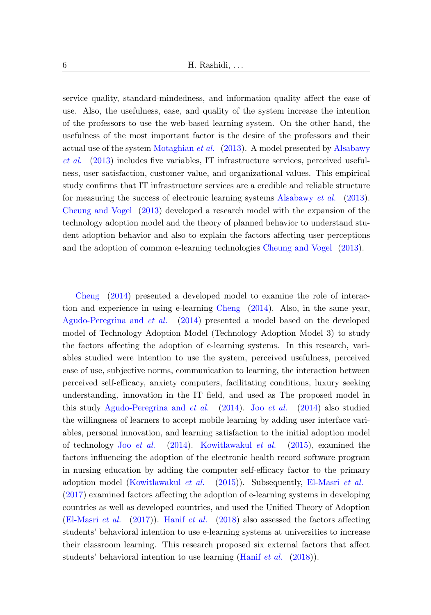service quality, standard-mindedness, and information quality affect the ease of use. Also, the usefulness, ease, and quality of the system increase the intention of the professors to use the web-based learning system. On the other hand, the usefulness of the most important factor is the desire of the professors and their actual use of the system [Motaghian](#page-25-4) et al. [\(2013\)](#page-25-4). A model presented by [Alsabawy](#page-23-4) [et al.](#page-23-4) [\(2013\)](#page-23-4) includes five variables, IT infrastructure services, perceived usefulness, user satisfaction, customer value, and organizational values. This empirical study confirms that IT infrastructure services are a credible and reliable structure for measuring the success of electronic learning systems [Alsabawy](#page-23-4) et al. [\(2013\)](#page-23-4). [Cheung and Vogel](#page-23-5) [\(2013\)](#page-23-5) developed a research model with the expansion of the technology adoption model and the theory of planned behavior to understand student adoption behavior and also to explain the factors affecting user perceptions and the adoption of common e-learning technologies [Cheung and Vogel](#page-23-5) [\(2013\)](#page-23-5).

[Cheng](#page-23-6) [\(2014\)](#page-23-6) presented a developed model to examine the role of interaction and experience in using e-learning [Cheng](#page-23-6) [\(2014\)](#page-23-6). Also, in the same year, [Agudo-Peregrina and](#page-23-7) et al. [\(2014\)](#page-23-7) presented a model based on the developed model of Technology Adoption Model (Technology Adoption Model 3) to study the factors affecting the adoption of e-learning systems. In this research, variables studied were intention to use the system, perceived usefulness, perceived ease of use, subjective norms, communication to learning, the interaction between perceived self-efficacy, anxiety computers, facilitating conditions, luxury seeking understanding, innovation in the IT field, and used as The proposed model in this study [Agudo-Peregrina and](#page-23-7) *[et al.](#page-24-4)* [\(2014\)](#page-24-4). Joo *et al.* (2014) also studied the willingness of learners to accept mobile learning by adding user interface variables, personal innovation, and learning satisfaction to the initial adoption model of technology Joo [et al.](#page-24-4) [\(2014\)](#page-24-4). [Kowitlawakul](#page-25-5) et al. [\(2015\)](#page-25-5), examined the factors influencing the adoption of the electronic health record software program in nursing education by adding the computer self-efficacy factor to the primary adoption model [\(Kowitlawakul](#page-25-5) et al. [\(2015\)](#page-25-5)). Subsequently, [El-Masri](#page-24-5) et al. [\(2017\)](#page-24-5) examined factors affecting the adoption of e-learning systems in developing countries as well as developed countries, and used the Unified Theory of Adoption [\(El-Masri](#page-24-5) et al. [\(2017\)](#page-24-5)). [Hanif](#page-24-2) et al. [\(2018\)](#page-24-2) also assessed the factors affecting students' behavioral intention to use e-learning systems at universities to increase their classroom learning. This research proposed six external factors that affect students' behavioral intention to use learning [\(Hanif](#page-24-2) et al. [\(2018\)](#page-24-2)).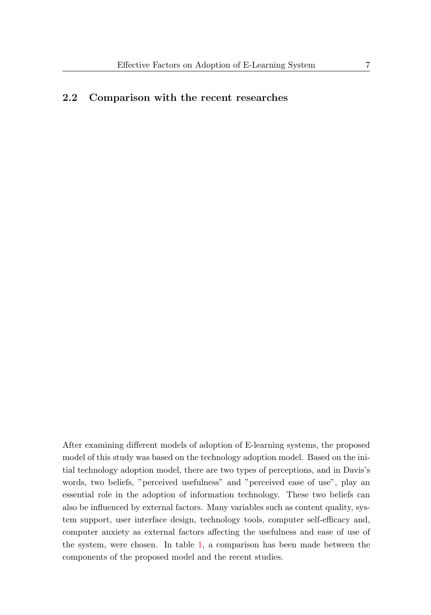### 2.2 Comparison with the recent researches

After examining different models of adoption of E-learning systems, the proposed model of this study was based on the technology adoption model. Based on the initial technology adoption model, there are two types of perceptions, and in Davis's words, two beliefs, "perceived usefulness" and "perceived ease of use", play an essential role in the adoption of information technology. These two beliefs can also be influenced by external factors. Many variables such as content quality, system support, user interface design, technology tools, computer self-efficacy and, computer anxiety as external factors affecting the usefulness and ease of use of the system, were chosen. In table [1,](#page-7-0) a comparison has been made between the components of the proposed model and the recent studies.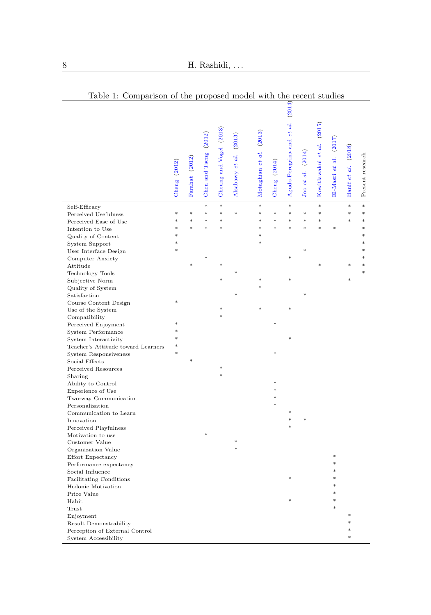<span id="page-7-0"></span>

|                                                                    | Cheng $(2012)$   | Farahat (2012) | Chen and Tseng (2012) | Cheung and Vogel (2013) | Alsabawy et al. (2013) | Motaghian et al. (2013) | Cheng (2014)     | (2014)<br>Agudo-Peregrina and et al. | (2014)<br>Joo et al. | Kowitlawakul et al. (2015) | El-Masri et al. (2017) | Hanif et al. (2018) | Present research |
|--------------------------------------------------------------------|------------------|----------------|-----------------------|-------------------------|------------------------|-------------------------|------------------|--------------------------------------|----------------------|----------------------------|------------------------|---------------------|------------------|
| Self-Efficacy                                                      |                  | $\ast$         | s.                    | $\ast$                  |                        | ×                       |                  | sk.                                  |                      | *                          |                        | $\ast$              | $\ast$<br>$\ast$ |
| Perceived Usefulness                                               | $\ast$<br>$\ast$ | $\ast$         | *<br>*                | $\ast$<br>*             | $\ast$                 | *<br>*                  | $\ast$<br>$\ast$ | *<br>$\ast$                          | ×<br>*               | $\ast$<br>$\ast$           |                        | ×.                  | ×                |
| Perceived Ease of Use                                              | sk.              |                | ş.                    |                         |                        | s.                      | sk.              |                                      |                      | ×                          | s.                     |                     | s.               |
| Intention to Use<br>Quality of Content                             | ş.               |                |                       |                         |                        |                         |                  |                                      |                      |                            |                        |                     |                  |
| System Support                                                     | *                |                |                       |                         |                        |                         |                  |                                      |                      |                            |                        |                     |                  |
| User Interface Design                                              |                  |                |                       |                         |                        |                         |                  |                                      |                      |                            |                        |                     |                  |
| Computer Anxiety                                                   |                  |                |                       |                         |                        |                         |                  |                                      |                      |                            |                        |                     |                  |
| Attitude                                                           |                  |                |                       |                         |                        |                         |                  |                                      |                      |                            |                        |                     |                  |
| <b>Technology Tools</b>                                            |                  |                |                       |                         |                        |                         |                  |                                      |                      |                            |                        |                     |                  |
| Subjective Norm                                                    |                  |                |                       |                         |                        |                         |                  |                                      |                      |                            |                        |                     |                  |
| Quality of System                                                  |                  |                |                       |                         |                        |                         |                  |                                      |                      |                            |                        |                     |                  |
| Satisfaction                                                       |                  |                |                       |                         |                        |                         |                  |                                      |                      |                            |                        |                     |                  |
| Course Content Design                                              |                  |                |                       |                         |                        |                         |                  |                                      |                      |                            |                        |                     |                  |
| Use of the System                                                  |                  |                |                       |                         |                        |                         |                  |                                      |                      |                            |                        |                     |                  |
| Compatibility                                                      |                  |                |                       |                         |                        |                         |                  |                                      |                      |                            |                        |                     |                  |
| Perceived Enjoyment                                                |                  |                |                       |                         |                        |                         |                  |                                      |                      |                            |                        |                     |                  |
| System Performance                                                 |                  |                |                       |                         |                        |                         |                  |                                      |                      |                            |                        |                     |                  |
| System Interactivity                                               | *                |                |                       |                         |                        |                         |                  |                                      |                      |                            |                        |                     |                  |
| Teacher's Attitude toward Learners<br><b>System Responsiveness</b> |                  |                |                       |                         |                        |                         |                  |                                      |                      |                            |                        |                     |                  |
| Social Effects                                                     |                  |                |                       |                         |                        |                         |                  |                                      |                      |                            |                        |                     |                  |
| Perceived Resources                                                |                  |                |                       |                         |                        |                         |                  |                                      |                      |                            |                        |                     |                  |
| Sharing                                                            |                  |                |                       |                         |                        |                         |                  |                                      |                      |                            |                        |                     |                  |
| Ability to Control                                                 |                  |                |                       |                         |                        |                         |                  |                                      |                      |                            |                        |                     |                  |
| Experience of Use                                                  |                  |                |                       |                         |                        |                         |                  |                                      |                      |                            |                        |                     |                  |
| Two-way Communication                                              |                  |                |                       |                         |                        |                         |                  |                                      |                      |                            |                        |                     |                  |
| Personalization                                                    |                  |                |                       |                         |                        |                         |                  |                                      |                      |                            |                        |                     |                  |
| Communication to Learn                                             |                  |                |                       |                         |                        |                         |                  |                                      |                      |                            |                        |                     |                  |
| Innovation                                                         |                  |                |                       |                         |                        |                         |                  |                                      |                      |                            |                        |                     |                  |
| Perceived Playfulness                                              |                  |                |                       |                         |                        |                         |                  |                                      |                      |                            |                        |                     |                  |
| Motivation to use                                                  |                  |                |                       |                         |                        |                         |                  |                                      |                      |                            |                        |                     |                  |
| Customer Value                                                     |                  |                |                       |                         |                        |                         |                  |                                      |                      |                            |                        |                     |                  |
| Organization Value                                                 |                  |                |                       |                         |                        |                         |                  |                                      |                      |                            |                        |                     |                  |
| Effort Expectancy                                                  |                  |                |                       |                         |                        |                         |                  |                                      |                      |                            |                        |                     |                  |
| Performance expectancy<br>Social Influence                         |                  |                |                       |                         |                        |                         |                  |                                      |                      |                            |                        |                     |                  |
| Facilitating Conditions                                            |                  |                |                       |                         |                        |                         |                  |                                      |                      |                            |                        |                     |                  |
| Hedonic Motivation                                                 |                  |                |                       |                         |                        |                         |                  |                                      |                      |                            |                        |                     |                  |
| Price Value                                                        |                  |                |                       |                         |                        |                         |                  |                                      |                      |                            |                        |                     |                  |
| Habit                                                              |                  |                |                       |                         |                        |                         |                  |                                      |                      |                            |                        |                     |                  |
| Trust                                                              |                  |                |                       |                         |                        |                         |                  |                                      |                      |                            |                        |                     |                  |
| Enjoyment                                                          |                  |                |                       |                         |                        |                         |                  |                                      |                      |                            |                        |                     |                  |
| Result Demonstrability                                             |                  |                |                       |                         |                        |                         |                  |                                      |                      |                            |                        |                     |                  |
| Perception of External Control                                     |                  |                |                       |                         |                        |                         |                  |                                      |                      |                            |                        |                     |                  |
| System Accessibility                                               |                  |                |                       |                         |                        |                         |                  |                                      |                      |                            |                        |                     |                  |

Table 1: Comparison of the proposed model with the recent studies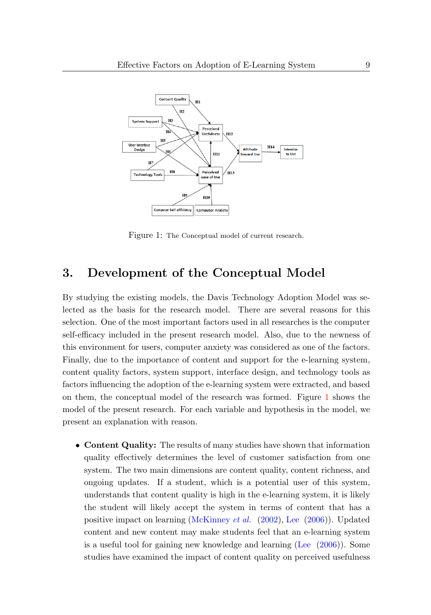

<span id="page-8-0"></span>Figure 1: The Conceptual model of current research.

## 3. Development of the Conceptual Model

By studying the existing models, the Davis Technology Adoption Model was selected as the basis for the research model. There are several reasons for this selection. One of the most important factors used in all researches is the computer self-efficacy included in the present research model. Also, due to the newness of this environment for users, computer anxiety was considered as one of the factors. Finally, due to the importance of content and support for the e-learning system, content quality factors, system support, interface design, and technology tools as factors influencing the adoption of the e-learning system were extracted, and based on them, the conceptual model of the research was formed. Figure [1](#page-8-0) shows the model of the present research. For each variable and hypothesis in the model, we present an explanation with reason.

• Content Quality: The results of many studies have shown that information quality effectively determines the level of customer satisfaction from one system. The two main dimensions are content quality, content richness, and ongoing updates. If a student, which is a potential user of this system, understands that content quality is high in the e-learning system, it is likely the student will likely accept the system in terms of content that has a positive impact on learning [\(McKinney](#page-25-6) *et al.* [\(2002\)](#page-25-6), [Lee](#page-25-7) [\(2006\)](#page-25-7)). Updated content and new content may make students feel that an e-learning system is a useful tool for gaining new knowledge and learning [\(Lee](#page-25-7) [\(2006\)](#page-25-7)). Some studies have examined the impact of content quality on perceived usefulness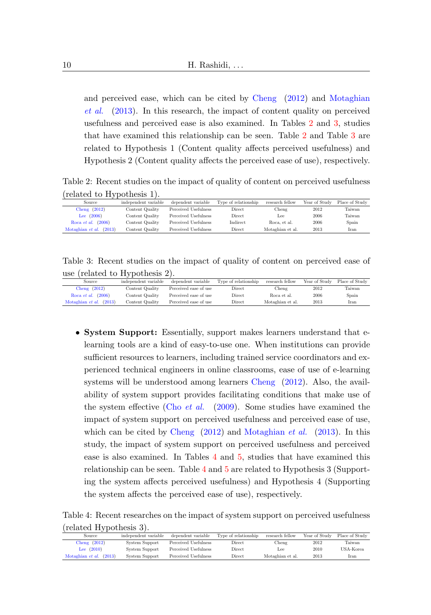and perceived ease, which can be cited by [Cheng](#page-23-2) [\(2012\)](#page-23-2) and [Motaghian](#page-25-4) [et al.](#page-25-4) [\(2013\)](#page-25-4). In this research, the impact of content quality on perceived usefulness and perceived ease is also examined. In Tables [2](#page-9-0) and [3,](#page-9-1) studies that have examined this relationship can be seen. Table [2](#page-9-0) and Table [3](#page-9-1) are related to Hypothesis 1 (Content quality affects perceived usefulness) and Hypothesis 2 (Content quality affects the perceived ease of use), respectively.

Table 2: Recent studies on the impact of quality of content on perceived usefulness (related to Hypothesis 1).

<span id="page-9-0"></span>

| research fellow<br>independent variable<br>Type of relationship<br>dependent variable<br>Year of Study<br>Place of Study<br>Source |  |  |  |
|------------------------------------------------------------------------------------------------------------------------------------|--|--|--|
|                                                                                                                                    |  |  |  |
| Cheng $(2012)$<br>Perceived Usefulness<br>Content Quality<br>2012<br>Taiwan<br>Direct<br>Cheng                                     |  |  |  |
| Lee $(2006)$<br>2006<br>Perceived Usefulness<br>Taiwan<br>Content Quality<br>Direct<br>Lee                                         |  |  |  |
| (2006)<br>Indirect<br>2006<br>Perceived Usefulness<br>Content Quality<br>Spain<br>Roca et al.<br>Roca, et al.                      |  |  |  |
| (2013)<br>2013<br>Motaghian et al.<br>Motaghian et al.<br>Content Quality<br>Perceived Usefulness<br><b>Direct</b><br>Iran         |  |  |  |

Table 3: Recent studies on the impact of quality of content on perceived ease of use (related to Hypothesis 2).

<span id="page-9-1"></span>

| Source                      | independent variable | dependent variable    | Type of relationship | research fellow  | Year of Study | Place of Study |
|-----------------------------|----------------------|-----------------------|----------------------|------------------|---------------|----------------|
| Cheng $(2012)$              | Content Quality      | Perceived ease of use | Direct               | Cheng            | 2012          | Taiwan         |
| Roca <i>et al.</i> $(2006)$ | Content Quality      | Perceived ease of use | Direct               | Roca et al.      | 2006          | Spain          |
| (2013)<br>Motaghian et al.  | Content Quality      | Perceived ease of use | Direct               | Motaghian et al. | 2013          | Iran           |
|                             |                      |                       |                      |                  |               |                |

• System Support: Essentially, support makes learners understand that elearning tools are a kind of easy-to-use one. When institutions can provide sufficient resources to learners, including trained service coordinators and experienced technical engineers in online classrooms, ease of use of e-learning systems will be understood among learners [Cheng](#page-23-2) [\(2012\)](#page-23-2). Also, the availability of system support provides facilitating conditions that make use of the system effective (Cho [et al.](#page-23-8) [\(2009\)](#page-23-8). Some studies have examined the impact of system support on perceived usefulness and perceived ease of use, which can be cited by [Cheng](#page-23-2) [\(2012\)](#page-23-2) and [Motaghian](#page-25-4) et al. [\(2013\)](#page-25-4). In this study, the impact of system support on perceived usefulness and perceived ease is also examined. In Tables [4](#page-9-2) and [5,](#page-10-0) studies that have examined this relationship can be seen. Table [4](#page-9-2) and [5](#page-10-0) are related to Hypothesis 3 (Supporting the system affects perceived usefulness) and Hypothesis 4 (Supporting the system affects the perceived ease of use), respectively.

Table 4: Recent researches on the impact of system support on perceived usefulness (related Hypothesis 3).

<span id="page-9-2"></span>

| Source                     | independent variable | dependent variable   | Type of relationship | research fellow  | Year of Study | Place of Study |
|----------------------------|----------------------|----------------------|----------------------|------------------|---------------|----------------|
| Cheng $(2012)$             | System Support       | Perceived Usefulness | Direct               | Chener           | 2012          | Taiwan         |
| Lee $(2010)$               | System Support       | Perceived Usefulness | <b>Direct</b>        | Lee.             | 2010          | USA-Korea      |
| (2013)<br>Motaghian et al. | System Support       | Perceived Usefulness | Direct               | Motaghian et al. | 2013          | Iran           |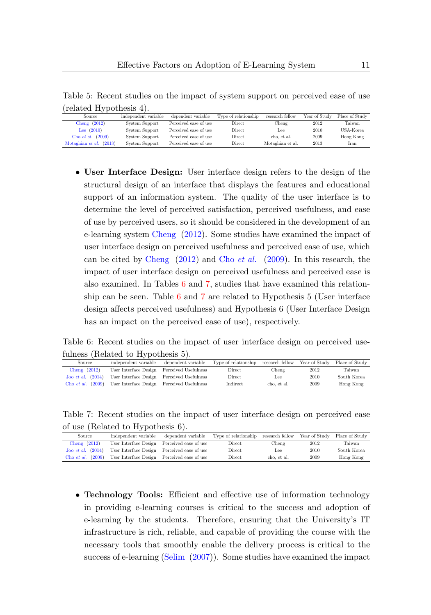Table 5: Recent studies on the impact of system support on perceived ease of use (related Hypothesis 4).

<span id="page-10-0"></span>

| $\mathbf{v}$               |                      |                       |                      |                  |               |                |
|----------------------------|----------------------|-----------------------|----------------------|------------------|---------------|----------------|
| Source                     | independent variable | dependent variable    | Type of relationship | research fellow  | Year of Study | Place of Study |
| Cheng $(2012)$             | System Support       | Perceived ease of use | Direct               | Chener           | 2012          | Taiwan         |
| Lee $(2010)$               | System Support       | Perceived ease of use | Direct               | Lee:             | 2010          | USA-Korea      |
| Cho <i>et al.</i> $(2009)$ | System Support       | Perceived ease of use | <b>Direct</b>        | cho, et al.      | 2009          | Hong Kong      |
| (2013)<br>Motaghian et al. | System Support       | Perceived ease of use | <b>Direct</b>        | Motaghian et al. | 2013          | Iran           |

• User Interface Design: User interface design refers to the design of the structural design of an interface that displays the features and educational support of an information system. The quality of the user interface is to determine the level of perceived satisfaction, perceived usefulness, and ease of use by perceived users, so it should be considered in the development of an e-learning system [Cheng](#page-23-2) [\(2012\)](#page-23-2). Some studies have examined the impact of user interface design on perceived usefulness and perceived ease of use, which can be cited by [Cheng](#page-23-2) [\(2012\)](#page-23-2) and Cho [et al.](#page-23-8) [\(2009\)](#page-23-8). In this research, the impact of user interface design on perceived usefulness and perceived ease is also examined. In Tables [6](#page-10-1) and [7,](#page-10-2) studies that have examined this relationship can be seen. Table [6](#page-10-1) and [7](#page-10-2) are related to Hypothesis 5 (User interface design affects perceived usefulness) and Hypothesis 6 (User Interface Design has an impact on the perceived ease of use), respectively.

Table 6: Recent studies on the impact of user interface design on perceived usefulness (Related to Hypothesis 5).

<span id="page-10-1"></span>

| Source                         | independent variable                       | dependent variable | Type of relationship research fellow Year of Study Place of Study |             |      |             |
|--------------------------------|--------------------------------------------|--------------------|-------------------------------------------------------------------|-------------|------|-------------|
| Cheng $(2012)$                 | User Interface Design Perceived Usefulness |                    | Direct                                                            | Cheng       | 2012 | Taiwan      |
| $\pi$ Joo <i>et al.</i> (2014) | User Interface Design Perceived Usefulness |                    | Direct                                                            | Lee         | 2010 | South Korea |
| (2009)<br>Cho et al.           | User Interface Design Perceived Usefulness |                    | Indirect                                                          | cho, et al. | 2009 | Hong Kong   |

Table 7: Recent studies on the impact of user interface design on perceived ease of use (Related to Hypothesis 6).

<span id="page-10-2"></span>

| Source                         | independent variable                        | dependent variable | Type of relationship research fellow Year of Study Place of Study |             |      |             |
|--------------------------------|---------------------------------------------|--------------------|-------------------------------------------------------------------|-------------|------|-------------|
| Cheng $(2012)$                 | User Interface Design Perceived ease of use |                    | Direct                                                            | Cheng       | 2012 | Taiwan      |
| $\pi$ Joo <i>et al.</i> (2014) | User Interface Design Perceived ease of use |                    | Direct                                                            | Lee         | 2010 | South Korea |
| (2009)<br>Cho et al.           | User Interface Design Perceived ease of use |                    | Direct                                                            | cho, et al. | 2009 | Hong Kong   |

• Technology Tools: Efficient and effective use of information technology in providing e-learning courses is critical to the success and adoption of e-learning by the students. Therefore, ensuring that the University's IT infrastructure is rich, reliable, and capable of providing the course with the necessary tools that smoothly enable the delivery process is critical to the success of e-learning [\(Selim](#page-25-3) [\(2007\)](#page-25-3)). Some studies have examined the impact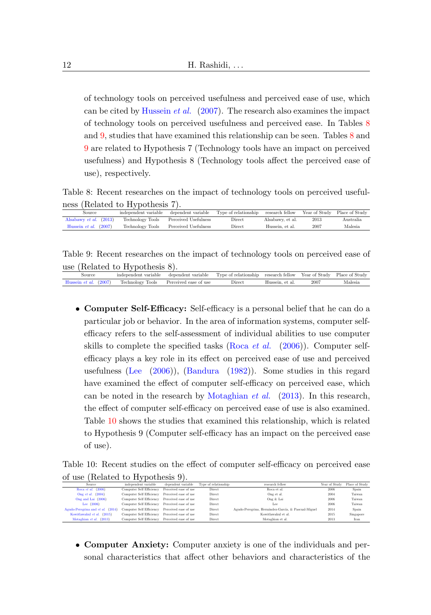of technology tools on perceived usefulness and perceived ease of use, which can be cited by [Hussein](#page-24-6) et al. [\(2007\)](#page-24-6). The research also examines the impact of technology tools on perceived usefulness and perceived ease. In Tables [8](#page-11-0) and [9,](#page-11-1) studies that have examined this relationship can be seen. Tables [8](#page-11-0) and [9](#page-11-1) are related to Hypothesis 7 (Technology tools have an impact on perceived usefulness) and Hypothesis 8 (Technology tools affect the perceived ease of use), respectively.

Table 8: Recent researches on the impact of technology tools on perceived usefulness (Related to Hypothesis 7).

<span id="page-11-0"></span>

| Source                         | independent variable | dependent variable   | Type of relationship | research fellow  |      | Year of Study Place of Study |
|--------------------------------|----------------------|----------------------|----------------------|------------------|------|------------------------------|
| Alsabawy et al. $(2013)$       | Technology Tools     | Perceived Usefulness | Direct               | Alsabawy, et al. | 2013 | Australia.                   |
| Hussein <i>et al.</i> $(2007)$ | Technology Tools     | Perceived Usefulness | Direct               | Hussein, et al.  | 2007 | Malesia                      |
|                                |                      |                      |                      |                  |      |                              |

Table 9: Recent researches on the impact of technology tools on perceived ease of use (Related to Hypothesis 8).

<span id="page-11-1"></span>

| Source                                                              | independent variable | dependent variable | Type of relationship research fellow Year of Study Place of Study |                 |      |         |
|---------------------------------------------------------------------|----------------------|--------------------|-------------------------------------------------------------------|-----------------|------|---------|
| Hussein <i>et al.</i> (2007) Technology Tools Perceived ease of use |                      |                    | Direct                                                            | Hussein, et al. | 2007 | Malesia |

• Computer Self-Efficacy: Self-efficacy is a personal belief that he can do a particular job or behavior. In the area of information systems, computer selfefficacy refers to the self-assessment of individual abilities to use computer skills to complete the specified tasks [\(Roca](#page-25-8) *et al.* [\(2006\)](#page-25-8)). Computer selfefficacy plays a key role in its effect on perceived ease of use and perceived usefulness [\(Lee](#page-25-7) [\(2006\)](#page-25-7)), [\(Bandura](#page-23-9) [\(1982\)](#page-23-9)). Some studies in this regard have examined the effect of computer self-efficacy on perceived ease, which can be noted in the research by [Motaghian](#page-25-4) et al. [\(2013\)](#page-25-4). In this research, the effect of computer self-efficacy on perceived ease of use is also examined. Table [10](#page-11-2) shows the studies that examined this relationship, which is related to Hypothesis 9 (Computer self-efficacy has an impact on the perceived ease of use).

Table 10: Recent studies on the effect of computer self-efficacy on perceived ease of use (Related to Hypothesis 9).

<span id="page-11-2"></span>

| ------- |                                   | $\frac{1}{2}$                                  |                       |                      |                                                     |               |                |
|---------|-----------------------------------|------------------------------------------------|-----------------------|----------------------|-----------------------------------------------------|---------------|----------------|
|         | Source                            | independent variable                           | dependent variable    | Type of relationship | research fellow                                     | Year of Study | Place of Study |
|         | Roca et al. $(2006)$              | Computer Self Efficiency                       | Perceived ease of use | Direct               | Roca et al.                                         | 2006          | Spain          |
|         | Ong et al. $(2004)$               | Computer Self Efficiency Perceived ease of use |                       | Direct               | Ong et al.                                          | 2004          | Taiwan         |
|         | Ong and Lai (2006)                | Computer Self Efficiency Perceived ease of use |                       | Direct               | Ong & Lai                                           | 2006          | Taiwan         |
|         | Lee $(2006)$                      | Computer Self Efficiency Perceived ease of use |                       | Direct               | Lee                                                 | 2006          | Taiwan         |
|         | Agudo-Peregrina and et al. (2014) | Computer Self Efficiency Perceived ease of use |                       | Direct               | Agudo-Peregrina, Hernández-García, & Pascual-Miguel | 2014          | Spain          |
|         | Kowitlawakul et al. (2015)        | Computer Self Efficiency Perceived ease of use |                       | Direct               | Kowitlawakul et al.                                 | 2015          | Singapore      |
|         | Motaghian et al. (2013)           | Computer Self Efficiency                       | Perceived ease of use | Direct               | Motaghian et al.                                    | 2013          | Iran           |
|         |                                   |                                                |                       |                      |                                                     |               |                |

• Computer Anxiety: Computer anxiety is one of the individuals and personal characteristics that affect other behaviors and characteristics of the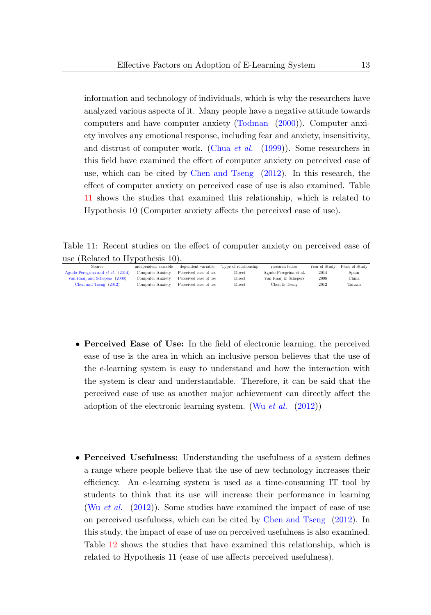information and technology of individuals, which is why the researchers have analyzed various aspects of it. Many people have a negative attitude towards computers and have computer anxiety [\(Todman](#page-26-2) [\(2000\)](#page-26-2)). Computer anxiety involves any emotional response, including fear and anxiety, insensitivity, and distrust of computer work. [\(Chua](#page-24-7) *et al.*  $(1999)$ ). Some researchers in this field have examined the effect of computer anxiety on perceived ease of use, which can be cited by [Chen and Tseng](#page-23-3) [\(2012\)](#page-23-3). In this research, the effect of computer anxiety on perceived ease of use is also examined. Table [11](#page-12-0) shows the studies that examined this relationship, which is related to Hypothesis 10 (Computer anxiety affects the perceived ease of use).

Table 11: Recent studies on the effect of computer anxiety on perceived ease of use (Related to Hypothesis 10).

<span id="page-12-0"></span>

| <b>Source</b>                            | independent variable | dependent variable    | Type of relationship | research fellow        | Year of Study | Place of Study |
|------------------------------------------|----------------------|-----------------------|----------------------|------------------------|---------------|----------------|
| Agudo-Peregrina and <i>et al.</i> (2014) | Computer Anxiety     | Perceived ease of use | Direct               | Agudo-Peregrina et al. | 2014          | Spain          |
| Van Raaij and Schepers (2008)            | Computer Anxiety     | Perceived ease of use | Direct               | Van Raaij & Schepers   | 2008          | China          |
| Chen and Tseng $(2012)$                  | Computer Anxiety     | Perceived ease of use | Direct               | Chen & Tseng           | 2012          | Taiwan         |
|                                          |                      |                       |                      |                        |               |                |

- Perceived Ease of Use: In the field of electronic learning, the perceived ease of use is the area in which an inclusive person believes that the use of the e-learning system is easy to understand and how the interaction with the system is clear and understandable. Therefore, it can be said that the perceived ease of use as another major achievement can directly affect the adoption of the electronic learning system. (Wu [et al.](#page-26-1)  $(2012)$ )
- Perceived Usefulness: Understanding the usefulness of a system defines a range where people believe that the use of new technology increases their efficiency. An e-learning system is used as a time-consuming IT tool by students to think that its use will increase their performance in learning (Wu [et al.](#page-26-1) [\(2012\)](#page-26-1)). Some studies have examined the impact of ease of use on perceived usefulness, which can be cited by [Chen and Tseng](#page-23-3) [\(2012\)](#page-23-3). In this study, the impact of ease of use on perceived usefulness is also examined. Table [12](#page-13-0) shows the studies that have examined this relationship, which is related to Hypothesis 11 (ease of use affects perceived usefulness).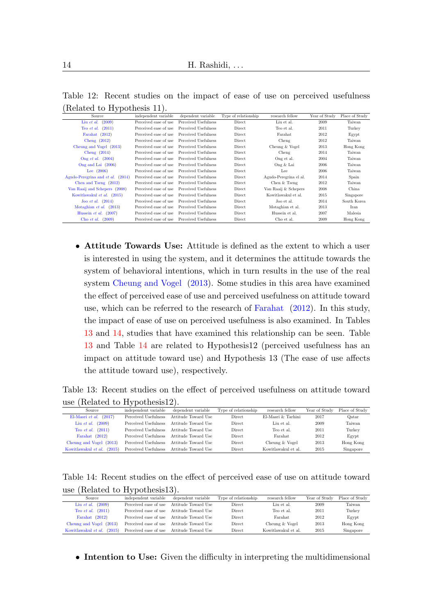<span id="page-13-0"></span>

| $\mu$ . The respective $\mu$ of $\mu$ is $\mu$ is $\mu$ is $\mu$ is $\mu$ is $\mu$ is $\mu$ is $\mu$ is $\mu$ is $\mu$ is $\mu$ is $\mu$ is $\mu$ is $\mu$ is $\mu$ is $\mu$ is $\mu$ is $\mu$ is $\mu$ is $\mu$ is $\mu$ is $\mu$ is $\mu$ is $\mu$ is |                       |                      |                      |                        |               |                |
|---------------------------------------------------------------------------------------------------------------------------------------------------------------------------------------------------------------------------------------------------------|-----------------------|----------------------|----------------------|------------------------|---------------|----------------|
| Source                                                                                                                                                                                                                                                  | independent variable  | dependent variable   | Type of relationship | research fellow        | Year of Study | Place of Study |
| (2009)<br>Liu et al.                                                                                                                                                                                                                                    | Perceived ease of use | Perceived Usefulness | Direct               | Liu et al.             | 2009          | Taiwan         |
| (2011)<br>Teo et al.                                                                                                                                                                                                                                    | Perceived ease of use | Perceived Usefulness | Direct               | Teo et al.             | 2011          | Turkey         |
| Farahat (2012)                                                                                                                                                                                                                                          | Perceived ease of use | Perceived Usefulness | Direct               | Farahat                | 2012          | Egypt          |
| Cheng $(2012)$                                                                                                                                                                                                                                          | Perceived ease of use | Perceived Usefulness | Direct               | Cheng                  | 2012          | Taiwan         |
| Cheung and Vogel (2013)                                                                                                                                                                                                                                 | Perceived ease of use | Perceived Usefulness | Direct               | Cheung & Vogel         | 2013          | Hong Kong      |
| Cheng $(2014)$                                                                                                                                                                                                                                          | Perceived ease of use | Perceived Usefulness | Direct               | Cheng                  | 2014          | Taiwan         |
| Ong et al. $(2004)$                                                                                                                                                                                                                                     | Perceived ease of use | Perceived Usefulness | Direct               | Ong et al.             | 2004          | Taiwan         |
| Ong and Lai (2006)                                                                                                                                                                                                                                      | Perceived ease of use | Perceived Usefulness | Direct               | Ong & Lai              | 2006          | Taiwan         |
| Lee $(2006)$                                                                                                                                                                                                                                            | Perceived ease of use | Perceived Usefulness | Direct               | Lee                    | 2006          | Taiwan         |
| Agudo-Peregrina and et al.<br>(2014)                                                                                                                                                                                                                    | Perceived ease of use | Perceived Usefulness | Direct               | Agudo-Peregrina el al. | 2014          | Spain          |
| Chen and Tseng (2012)                                                                                                                                                                                                                                   | Perceived ease of use | Perceived Usefulness | Direct               | Chen & Tseng           | 2012          | Taiwan         |
| Van Raaij and Schepers (2008)                                                                                                                                                                                                                           | Perceived ease of use | Perceived Usefulness | Direct               | Van Raaij & Schepers   | 2008          | China          |
| Kowitlawakul et al. (2015)                                                                                                                                                                                                                              | Perceived ease of use | Perceived Usefulness | Direct               | Kowitlawakul et al.    | 2015          | Singapore      |
| Joo <i>et al.</i> $(2014)$                                                                                                                                                                                                                              | Perceived ease of use | Perceived Usefulness | Direct               | Joo et al.             | 2014          | South Korea    |
| Motaghian et al.<br>(2013)                                                                                                                                                                                                                              | Perceived ease of use | Perceived Usefulness | Direct               | Motaghian et al.       | 2013          | Iran           |
| Hussein et al.<br>(2007)                                                                                                                                                                                                                                | Perceived ease of use | Perceived Usefulness | Direct               | Hussein et al.         | 2007          | Malesia        |
| (2009)<br>Cho et al.                                                                                                                                                                                                                                    | Perceived ease of use | Perceived Usefulness | Direct               | Cho et al.             | 2009          | Hong Kong      |

Table 12: Recent studies on the impact of ease of use on perceived usefulness (Related to Hypothesis 11).

• Attitude Towards Use: Attitude is defined as the extent to which a user is interested in using the system, and it determines the attitude towards the system of behavioral intentions, which in turn results in the use of the real system [Cheung and Vogel](#page-23-5) [\(2013\)](#page-23-5). Some studies in this area have examined the effect of perceived ease of use and perceived usefulness on attitude toward use, which can be referred to the research of [Farahat](#page-24-3) [\(2012\)](#page-24-3). In this study, the impact of ease of use on perceived usefulness is also examined. In Tables [13](#page-13-1) and [14,](#page-13-2) studies that have examined this relationship can be seen. Table [13](#page-13-1) and Table [14](#page-13-2) are related to Hypothesis12 (perceived usefulness has an impact on attitude toward use) and Hypothesis 13 (The ease of use affects the attitude toward use), respectively.

Table 13: Recent studies on the effect of perceived usefulness on attitude toward use (Related to Hypothesis12).

<span id="page-13-1"></span>

| Source                        | independent variable | dependent variable  | Type of relationship | research fellow     | Year of Study | Place of Study |
|-------------------------------|----------------------|---------------------|----------------------|---------------------|---------------|----------------|
| (2017)<br>El-Masri et al.     | Perceived Usefulness | Attitude Toward Use | Direct               | El-Masri & Tarhini  | 2017          | Oatar          |
| (2009)<br>Liu et al.          | Perceived Usefulness | Attitude Toward Use | Direct               | Liu et al.          | 2009          | Taiwan         |
| (2011)<br>Teo et al.          | Perceived Usefulness | Attitude Toward Use | <b>Direct</b>        | Teo et al.          | 2011          | Turkey         |
| Farahat (2012)                | Perceived Usefulness | Attitude Toward Use | <b>Direct</b>        | Farahat             | 2012          | Egypt          |
| Cheung and Vogel (2013)       | Perceived Usefulness | Attitude Toward Use | Direct               | Cheung & Vogel      | 2013          | Hong Kong      |
| Kowitlawakul et al.<br>(2015) | Perceived Usefulness | Attitude Toward Use | Direct               | Kowitlawakul et al. | 2015          | Singapore      |

Table 14: Recent studies on the effect of perceived ease of use on attitude toward use (Related to Hypothesis13).

<span id="page-13-2"></span>

| Source                        | independent variable  | dependent variable                        | Type of relationship | research fellow     | Year of Study | Place of Study |
|-------------------------------|-----------------------|-------------------------------------------|----------------------|---------------------|---------------|----------------|
| (2009)<br>Liu et al.          | Perceived ease of use | Attitude Toward Use                       | <b>Direct</b>        | Liu et al.          | 2009          | Taiwan         |
| Teo et al. $(2011)$           |                       | Perceived ease of use Attitude Toward Use | Direct               | Teo et al.          | 2011          | Turkey         |
| Farahat $(2012)$              |                       | Perceived ease of use Attitude Toward Use | Direct               | Farahat             | 2012          | Egypt          |
| Cheung and Vogel (2013)       |                       | Perceived ease of use Attitude Toward Use | Direct               | Cheung & Vogel      | 2013          | Hong Kong      |
| Kowitlawakul et al.<br>(2015) |                       | Perceived ease of use Attitude Toward Use | Direct               | Kowitlawakul et al. | 2015          | Singapore      |

• Intention to Use: Given the difficulty in interpreting the multidimensional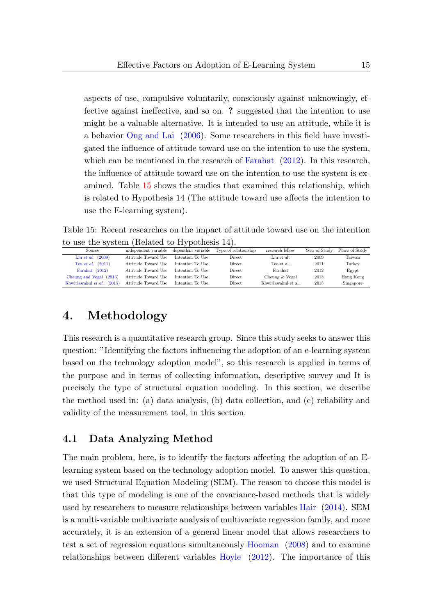aspects of use, compulsive voluntarily, consciously against unknowingly, effective against ineffective, and so on. ? suggested that the intention to use might be a valuable alternative. It is intended to use an attitude, while it is a behavior [Ong and Lai](#page-25-1) [\(2006\)](#page-25-1). Some researchers in this field have investigated the influence of attitude toward use on the intention to use the system, which can be mentioned in the research of [Farahat](#page-24-3) [\(2012\)](#page-24-3). In this research, the influence of attitude toward use on the intention to use the system is examined. Table [15](#page-14-0) shows the studies that examined this relationship, which is related to Hypothesis 14 (The attitude toward use affects the intention to use the E-learning system).

Table 15: Recent researches on the impact of attitude toward use on the intention to use the system (Related to Hypothesis 14).

<span id="page-14-0"></span>

|                               |                      | $\sim$             |                      |                     |               |                |
|-------------------------------|----------------------|--------------------|----------------------|---------------------|---------------|----------------|
| Source                        | independent variable | dependent variable | Type of relationship | research fellow     | Year of Study | Place of Study |
| (2009)<br>Liu et al.          | Attitude Toward Use  | Intention To Use   | Direct               | Lin et al.          | 2009          | Taiwan         |
| (2011)<br>Teo et al.          | Attitude Toward Use  | Intention To Use   | <b>Direct</b>        | Teo et al.          | 2011          | Turkey         |
| Farahat (2012)                | Attitude Toward Use  | Intention To Use   | Direct               | Farahat             | 2012          | Egypt          |
| Cheung and Vogel (2013)       | Attitude Toward Use  | Intention To Use   | Direct               | Cheung & Vogel      | 2013          | Hong Kong      |
| Kowitlawakul et al.<br>(2015) | Attitude Toward Use  | Intention To Use   | Direct               | Kowitlawakul et al. | 2015          | Singapore      |

## 4. Methodology

This research is a quantitative research group. Since this study seeks to answer this question: "Identifying the factors influencing the adoption of an e-learning system based on the technology adoption model", so this research is applied in terms of the purpose and in terms of collecting information, descriptive survey and It is precisely the type of structural equation modeling. In this section, we describe the method used in: (a) data analysis, (b) data collection, and (c) reliability and validity of the measurement tool, in this section.

## 4.1 Data Analyzing Method

The main problem, here, is to identify the factors affecting the adoption of an Elearning system based on the technology adoption model. To answer this question, we used Structural Equation Modeling (SEM). The reason to choose this model is that this type of modeling is one of the covariance-based methods that is widely used by researchers to measure relationships between variables [Hair](#page-24-8) [\(2014\)](#page-24-8). SEM is a multi-variable multivariate analysis of multivariate regression family, and more accurately, it is an extension of a general linear model that allows researchers to test a set of regression equations simultaneously [Hooman](#page-24-9) [\(2008\)](#page-24-9) and to examine relationships between different variables [Hoyle](#page-24-10) [\(2012\)](#page-24-10). The importance of this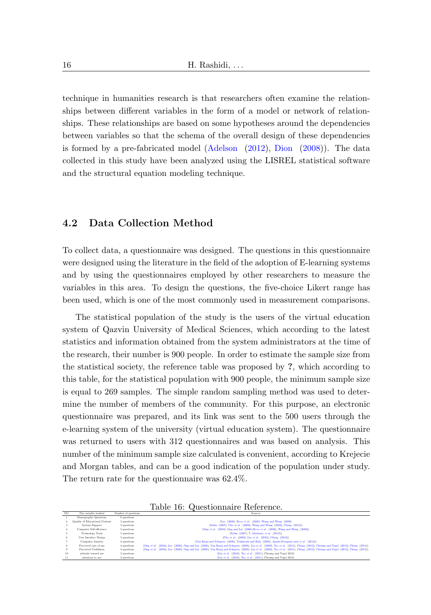technique in humanities research is that researchers often examine the relationships between different variables in the form of a model or network of relationships. These relationships are based on some hypotheses around the dependencies between variables so that the schema of the overall design of these dependencies is formed by a pre-fabricated model [\(Adelson](#page-23-10) [\(2012\)](#page-23-10), [Dion](#page-24-11) [\(2008\)](#page-24-11)). The data collected in this study have been analyzed using the LISREL statistical software and the structural equation modeling technique.

#### 4.2 Data Collection Method

To collect data, a questionnaire was designed. The questions in this questionnaire were designed using the literature in the field of the adoption of E-learning systems and by using the questionnaires employed by other researchers to measure the variables in this area. To design the questions, the five-choice Likert range has been used, which is one of the most commonly used in measurement comparisons.

The statistical population of the study is the users of the virtual education system of Qazvin University of Medical Sciences, which according to the latest statistics and information obtained from the system administrators at the time of the research, their number is 900 people. In order to estimate the sample size from the statistical society, the reference table was proposed by ?, which according to this table, for the statistical population with 900 people, the minimum sample size is equal to 269 samples. The simple random sampling method was used to determine the number of members of the community. For this purpose, an electronic questionnaire was prepared, and its link was sent to the 500 users through the e-learning system of the university (virtual education system). The questionnaire was returned to users with 312 questionnaires and was based on analysis. This number of the minimum sample size calculated is convenient, according to Krejecie and Morgan tables, and can be a good indication of the population under study. The return rate for the questionnaire was 62.4%.

|                      |                     | Table 16: Questionnaire Reference. |  |
|----------------------|---------------------|------------------------------------|--|
| The variable studied | Number of questions |                                    |  |

| NO. | The variable studied                  | Number of questions | <b>Sources</b>                                                                                                                                                                |
|-----|---------------------------------------|---------------------|-------------------------------------------------------------------------------------------------------------------------------------------------------------------------------|
|     | Demographic Ouestions                 | 6 questions         |                                                                                                                                                                               |
|     | <b>Ouality of Educational Content</b> | 2 questions         | (Lee (2006), Roca et al. (2006), Wang and Wang (2009)                                                                                                                         |
|     | System Support                        | 3 questions         | (Selim (2007), Cho et al. (2009), Wang and Wang (2009), Cheng (2012))                                                                                                         |
|     | Computer Self-efficiency              | 4 questions         | (Ong et al. (2004), Ong and Lai (2006), Roen et al. (2006), Wang and Wang (2009))                                                                                             |
|     | Technology Tools                      | 5 questions         | (Selim (2007), 7. Alsabawy et al. (2013))                                                                                                                                     |
|     | User Interface Design                 | 3 questions         | (Cho et al. (2009), Liu et al. (2010), Cheng (2012))                                                                                                                          |
|     | Computer Anxiety                      | 4 questions         | (Van Raaij and Schepers (2008), Venkatesh and Bala (2008), Agudo-Peregrina and et al. (2014))                                                                                 |
| 8.  | Perceived ease of use                 | 4 questions         | (Ong et al. (2004), Lee (2006), Ong and Lai (2006), Van Raaij and Schepers (2008), Liu et al. (2009), Teo et al. (2011), Cheng (2012), Cheung and Vogel (2013), Cheng (2014)) |
|     | Perceived Usefulness                  | 4 questions         | (Ong et al. (2004), Lee (2006), Ong and Lai (2006), Van Raaij and Schepers (2008), Liu et al. (2009), Teo et al. (2011), Cheng (2012), Cheung and Vogel (2013), Cheng (2012)) |
| 10  | attitude toward use                   | 3 questions         | (Liu et al. (2010). Teo et al. (2011). Cheung and Vogel 2013)                                                                                                                 |
| 11  | intention to use.                     | 3 questions         | (Liu et al. (2010). Teo et al. (2011). Cheung and Vogel 2013)                                                                                                                 |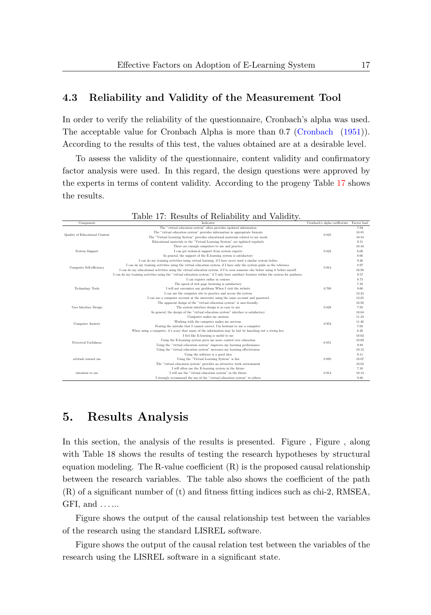### 4.3 Reliability and Validity of the Measurement Tool

In order to verify the reliability of the questionnaire, Cronbach's alpha was used. The acceptable value for Cronbach Alpha is more than 0.7 [\(Cronbach](#page-24-12) [\(1951\)](#page-24-12)). According to the results of this test, the values obtained are at a desirable level.

To assess the validity of the questionnaire, content validity and confirmatory factor analysis were used. In this regard, the design questions were approved by the experts in terms of content validity. According to the progeny Table [17](#page-16-0) shows the results.

<span id="page-16-0"></span>

|                                       | Table 17: Results of Reliability and Validity.                                                                                          |                                           |       |
|---------------------------------------|-----------------------------------------------------------------------------------------------------------------------------------------|-------------------------------------------|-------|
| Component                             | Indicator                                                                                                                               | Cronbach's alpha coefficients Factor load |       |
|                                       | The "virtual education system" often provides updated information                                                                       |                                           | 7.94  |
| <b>Ouality of Educational Content</b> | The "virtual education system" provides information in appropriate formats                                                              | 0.825                                     | 10.85 |
|                                       | The "Virtual Learning System" provides educational materials related to my needs                                                        |                                           | 10.54 |
|                                       | Educational materials in the "Virtual Learning System" are updated regularly                                                            |                                           | 9.31  |
|                                       | There are enough computers to use and practice                                                                                          |                                           | 10.44 |
| System Support                        | I can get technical support from system experts                                                                                         | 0.822                                     | 6.06  |
|                                       | In general, the support of the E-learning system is satisfactory                                                                        |                                           | 8.66  |
|                                       | I can do my training activities using virtual learning, if I have never used a similar system before                                    |                                           | 9.26  |
| Computer Self-efficiency              | I can do my training activities using the virtual education system, if I have only the system guide as the reference.                   | 0.914                                     | 8.97  |
|                                       | I can do my educational activities using the virtual education system, if I've seen someone else before using it before myself.         |                                           | 10.98 |
|                                       | I can do my training activities using the "virtual education system." if I only have auxiliary features within the system for guidance. |                                           | 9.57  |
|                                       | I can register online in courses                                                                                                        |                                           | 8.73  |
|                                       | The speed of web page browsing is satisfactory                                                                                          |                                           | 7.38  |
| Technology Tools                      | I will not encounter any problems When I visit the website                                                                              | 0.700                                     | 9.66  |
|                                       | I can use the computer site to practice and access the system                                                                           |                                           | 12.23 |
|                                       | I can use a computer account at the university using the same account and password                                                      |                                           | 12.05 |
|                                       | The apparent design of the "virtual education system" is user-friendly.                                                                 |                                           | 10.92 |
| User Interface Design                 | The system interface design is so easy to use                                                                                           | 0.828                                     | 7.93  |
|                                       | In general, the design of the "virtual education system" interface is satisfactory                                                      |                                           | 10.04 |
|                                       | Computer makes me anxious                                                                                                               |                                           | 11.23 |
| <b>Computer Anxiety</b>               | Working with the computer makes me nervous.                                                                                             | 0.952                                     | 11.46 |
|                                       | Fearing the mistake that I cannot correct. I'm hesitant to use a computer.                                                              |                                           | 7.68  |
|                                       | When using a computer, it's scary that many of the information may be lost by knocking out a wrong key.                                 |                                           | 6.26  |
|                                       | I feel like E-learning is useful to me                                                                                                  |                                           | 10.62 |
| Perceived Usefulness                  | Using the E-learning system gives me more control over education                                                                        | 0.851                                     | 10.69 |
|                                       | Using the "virtual education system" improves my learning performance                                                                   |                                           | 9.88  |
|                                       | Using the "virtual education system" increases my learning effectiveness                                                                |                                           | 10.12 |
|                                       | Using the software is a good idea                                                                                                       |                                           | 9.11  |
| attitude toward use                   | Using the "Virtual Learning System" is fun                                                                                              | 0.895                                     | 10.07 |
|                                       | The "virtual education system" provides an attractive work environment                                                                  |                                           | 10.03 |
|                                       | I will often use the E-learning system in the future                                                                                    |                                           | 7.16  |
| intention to use                      | I will use the "virtual education system" in the future                                                                                 | 0.914                                     | 10.14 |
|                                       | I strongly recommend the use of the "virtual education system" to others                                                                |                                           | 9.86  |

## 5. Results Analysis

In this section, the analysis of the results is presented. Figure , Figure , along with Table 18 shows the results of testing the research hypotheses by structural equation modeling. The R-value coefficient  $(R)$  is the proposed causal relationship between the research variables. The table also shows the coefficient of the path (R) of a significant number of (t) and fitness fitting indices such as chi-2, RMSEA, GFI, and  $\dots$ 

Figure shows the output of the causal relationship test between the variables of the research using the standard LISREL software.

Figure shows the output of the causal relation test between the variables of the research using the LISREL software in a significant state.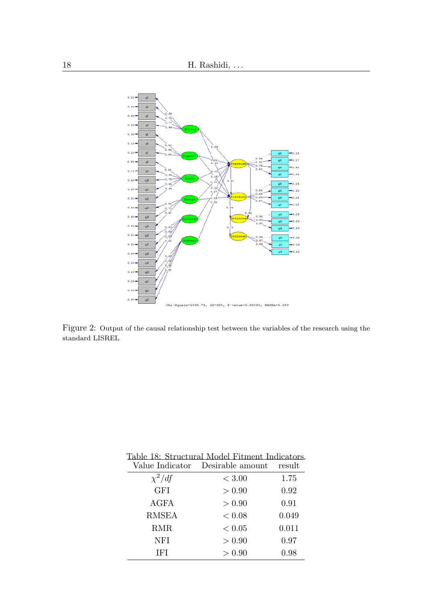

Figure 2: Output of the causal relationship test between the variables of the research using the standard LISREL

|              | Table 18: Structural Model Fitment Indicators.<br>Value Indicator Desirable amount | result |
|--------------|------------------------------------------------------------------------------------|--------|
| $\chi^2/df$  | ${}< 3.00$                                                                         | 1.75   |
| <b>GFI</b>   | > 0.90                                                                             | 0.92   |
| <b>AGFA</b>  | > 0.90                                                                             | 0.91   |
| <b>RMSEA</b> | < 0.08                                                                             | 0.049  |
| RMR.         | < 0.05                                                                             | 0.011  |
| NFI          | > 0.90                                                                             | 0.97   |
| IFI          | > 0.90                                                                             | 0.98   |

Table 18: Structural Model Fitment Indicators.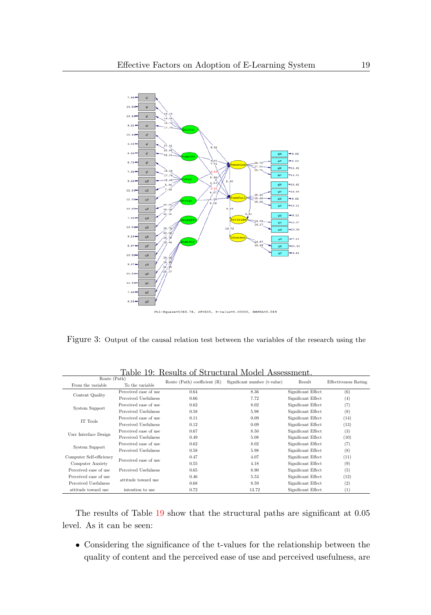

Chi-Square=1048.74, df=600, P-value=0.00000, RMSEA=0.049

Figure 3: Output of the causal relation test between the variables of the research using the

<span id="page-18-0"></span>

| Route (Path)                                |                       |                                  | TRADUTIN UL TIRLULUI AL IVIUULI TADMOOLIIULIIR. |                    |                             |  |
|---------------------------------------------|-----------------------|----------------------------------|-------------------------------------------------|--------------------|-----------------------------|--|
| To the variable<br>From the variable        |                       | Route $(Path)$ coefficient $(R)$ | Significant number (t-value)                    | Result             | <b>Effectiveness Rating</b> |  |
| Content Quality                             | Perceived ease of use | 0.64                             | 8.36                                            | Significant Effect | (6)                         |  |
|                                             | Perceived Usefulness  | 0.66                             | 7.72                                            | Significant Effect | (4)                         |  |
| System Support                              | Perceived ease of use | 0.62                             | 8.02                                            | Significant Effect | (7)                         |  |
|                                             | Perceived Usefulness  | 0.58                             | 5.98                                            | Significant Effect | (8)                         |  |
| IT Tools                                    | Perceived ease of use | 0.11                             | 0.09                                            | Significant Effect | (14)                        |  |
|                                             | Perceived Usefulness  | 0.12                             | 0.09                                            | Significant Effect | (13)                        |  |
| User Interface Design                       | Perceived ease of use | 0.67                             | 8.50                                            | Significant Effect | (3)                         |  |
|                                             | Perceived Usefulness  | 0.49                             | 5.08                                            | Significant Effect | (10)                        |  |
|                                             | Perceived ease of use | 0.62                             | 8.02                                            | Significant Effect | (7)                         |  |
| <b>System Support</b>                       | Perceived Usefulness  | 0.58                             | 5.98                                            | Significant Effect | (8)                         |  |
| Computer Self-efficiency                    |                       |                                  | 4.07                                            | Significant Effect | (11)                        |  |
| Computer Anxiety                            | Perceived ease of use | 0.55                             | 4.18                                            | Significant Effect | (9)                         |  |
| Perceived ease of use                       | Perceived Usefulness  | 0.65                             | 8.90                                            | Significant Effect | (5)                         |  |
| Perceived ease of use                       |                       | 0.46                             | 5.53                                            | Significant Effect | (12)                        |  |
| attitude toward use<br>Perceived Usefulness |                       | 0.68                             | 8.59                                            | Significant Effect | (2)                         |  |
| attitude toward use                         | intention to use      | 0.72                             | 13.72                                           | Significant Effect | $\left(1\right)$            |  |

Table 19: Results of Structural Model Assessment.

The results of Table [19](#page-18-0) show that the structural paths are significant at 0.05 level. As it can be seen:

• Considering the significance of the t-values for the relationship between the quality of content and the perceived ease of use and perceived usefulness, are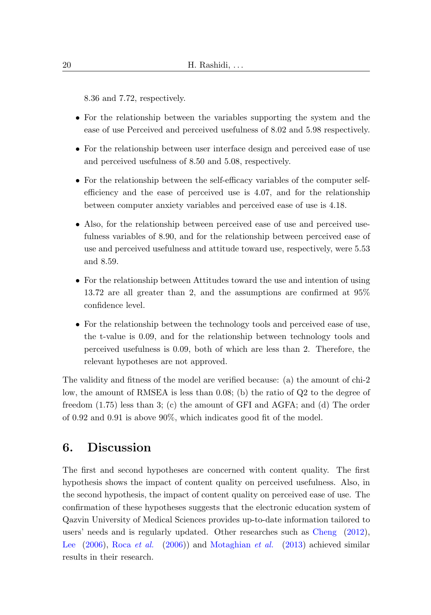8.36 and 7.72, respectively.

- For the relationship between the variables supporting the system and the ease of use Perceived and perceived usefulness of 8.02 and 5.98 respectively.
- For the relationship between user interface design and perceived ease of use and perceived usefulness of 8.50 and 5.08, respectively.
- For the relationship between the self-efficacy variables of the computer selfefficiency and the ease of perceived use is 4.07, and for the relationship between computer anxiety variables and perceived ease of use is 4.18.
- Also, for the relationship between perceived ease of use and perceived usefulness variables of 8.90, and for the relationship between perceived ease of use and perceived usefulness and attitude toward use, respectively, were 5.53 and 8.59.
- For the relationship between Attitudes toward the use and intention of using 13.72 are all greater than 2, and the assumptions are confirmed at 95% confidence level.
- For the relationship between the technology tools and perceived ease of use, the t-value is 0.09, and for the relationship between technology tools and perceived usefulness is 0.09, both of which are less than 2. Therefore, the relevant hypotheses are not approved.

The validity and fitness of the model are verified because: (a) the amount of chi-2 low, the amount of RMSEA is less than 0.08; (b) the ratio of Q2 to the degree of freedom (1.75) less than 3; (c) the amount of GFI and AGFA; and (d) The order of 0.92 and 0.91 is above 90%, which indicates good fit of the model.

## 6. Discussion

The first and second hypotheses are concerned with content quality. The first hypothesis shows the impact of content quality on perceived usefulness. Also, in the second hypothesis, the impact of content quality on perceived ease of use. The confirmation of these hypotheses suggests that the electronic education system of Qazvin University of Medical Sciences provides up-to-date information tailored to users' needs and is regularly updated. Other researches such as [Cheng](#page-23-2) [\(2012\)](#page-23-2), [Lee](#page-25-7)  $(2006)$ , Roca *[et al.](#page-25-8)*  $(2006)$ ) and [Motaghian](#page-25-4) *et al.*  $(2013)$  achieved similar results in their research.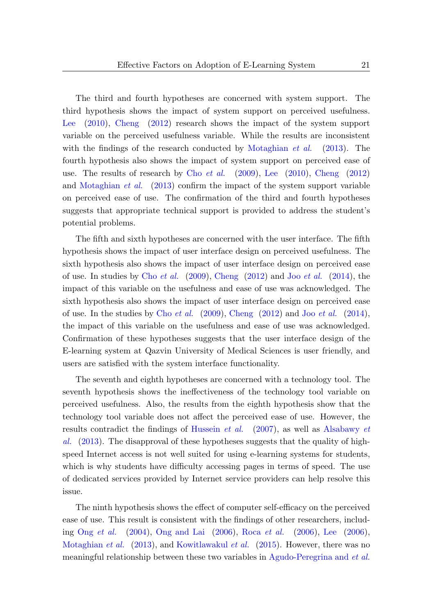The third and fourth hypotheses are concerned with system support. The third hypothesis shows the impact of system support on perceived usefulness. [Lee](#page-25-9) [\(2010\)](#page-25-9), [Cheng](#page-23-2) [\(2012\)](#page-23-2) research shows the impact of the system support variable on the perceived usefulness variable. While the results are inconsistent with the findings of the research conducted by [Motaghian](#page-25-4) *et al.* [\(2013\)](#page-25-4). The fourth hypothesis also shows the impact of system support on perceived ease of use. The results of research by Cho [et al.](#page-23-8)  $(2009)$ , [Lee](#page-25-9)  $(2010)$ , [Cheng](#page-23-2)  $(2012)$ and [Motaghian](#page-25-4) et al. [\(2013\)](#page-25-4) confirm the impact of the system support variable on perceived ease of use. The confirmation of the third and fourth hypotheses suggests that appropriate technical support is provided to address the student's potential problems.

The fifth and sixth hypotheses are concerned with the user interface. The fifth hypothesis shows the impact of user interface design on perceived usefulness. The sixth hypothesis also shows the impact of user interface design on perceived ease of use. In studies by Cho *[et al.](#page-24-4)*  $(2009)$ , [Cheng](#page-23-2)  $(2012)$  and Joo *et al.*  $(2014)$ , the impact of this variable on the usefulness and ease of use was acknowledged. The sixth hypothesis also shows the impact of user interface design on perceived ease of use. In the studies by Cho *[et al.](#page-24-4)*  $(2009)$ , [Cheng](#page-23-2)  $(2012)$  and Joo *et al.*  $(2014)$ , the impact of this variable on the usefulness and ease of use was acknowledged. Confirmation of these hypotheses suggests that the user interface design of the E-learning system at Qazvin University of Medical Sciences is user friendly, and users are satisfied with the system interface functionality.

The seventh and eighth hypotheses are concerned with a technology tool. The seventh hypothesis shows the ineffectiveness of the technology tool variable on perceived usefulness. Also, the results from the eighth hypothesis show that the technology tool variable does not affect the perceived ease of use. However, the results contradict the findings of [Hussein](#page-24-6) et al. [\(2007\)](#page-24-6), as well as [Alsabawy](#page-23-4) et [al.](#page-23-4) [\(2013\)](#page-23-4). The disapproval of these hypotheses suggests that the quality of highspeed Internet access is not well suited for using e-learning systems for students, which is why students have difficulty accessing pages in terms of speed. The use of dedicated services provided by Internet service providers can help resolve this issue.

The ninth hypothesis shows the effect of computer self-efficacy on the perceived ease of use. This result is consistent with the findings of other researchers, including Ong [et al.](#page-25-8)  $(2004)$ , [Ong and Lai](#page-25-1)  $(2006)$ , Roca et al.  $(2006)$ , [Lee](#page-25-7)  $(2006)$ , [Motaghian](#page-25-4) *et al.* [\(2013\)](#page-25-4), and [Kowitlawakul](#page-25-5) *et al.* [\(2015\)](#page-25-5). However, there was no meaningful relationship between these two variables in [Agudo-Peregrina and](#page-23-7) et al.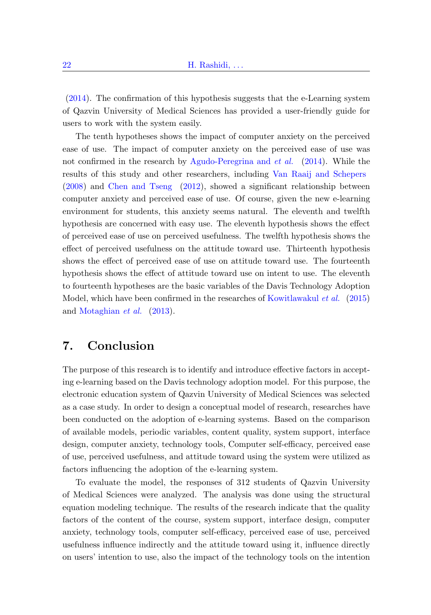[\(2014\)](#page-23-7). The confirmation of this hypothesis suggests that the e-Learning system of Qazvin University of Medical Sciences has provided a user-friendly guide for users to work with the system easily.

The tenth hypotheses shows the impact of computer anxiety on the perceived ease of use. The impact of computer anxiety on the perceived ease of use was not confirmed in the research by [Agudo-Peregrina and](#page-23-7) et al. [\(2014\)](#page-23-7). While the results of this study and other researchers, including [Van Raaij and Schepers](#page-26-3) [\(2008\)](#page-26-3) and [Chen and Tseng](#page-23-3) [\(2012\)](#page-23-3), showed a significant relationship between computer anxiety and perceived ease of use. Of course, given the new e-learning environment for students, this anxiety seems natural. The eleventh and twelfth hypothesis are concerned with easy use. The eleventh hypothesis shows the effect of perceived ease of use on perceived usefulness. The twelfth hypothesis shows the effect of perceived usefulness on the attitude toward use. Thirteenth hypothesis shows the effect of perceived ease of use on attitude toward use. The fourteenth hypothesis shows the effect of attitude toward use on intent to use. The eleventh to fourteenth hypotheses are the basic variables of the Davis Technology Adoption Model, which have been confirmed in the researches of [Kowitlawakul](#page-25-5) et al. [\(2015\)](#page-25-5) and [Motaghian](#page-25-4) et al. [\(2013\)](#page-25-4).

## 7. Conclusion

The purpose of this research is to identify and introduce effective factors in accepting e-learning based on the Davis technology adoption model. For this purpose, the electronic education system of Qazvin University of Medical Sciences was selected as a case study. In order to design a conceptual model of research, researches have been conducted on the adoption of e-learning systems. Based on the comparison of available models, periodic variables, content quality, system support, interface design, computer anxiety, technology tools, Computer self-efficacy, perceived ease of use, perceived usefulness, and attitude toward using the system were utilized as factors influencing the adoption of the e-learning system.

To evaluate the model, the responses of 312 students of Qazvin University of Medical Sciences were analyzed. The analysis was done using the structural equation modeling technique. The results of the research indicate that the quality factors of the content of the course, system support, interface design, computer anxiety, technology tools, computer self-efficacy, perceived ease of use, perceived usefulness influence indirectly and the attitude toward using it, influence directly on users' intention to use, also the impact of the technology tools on the intention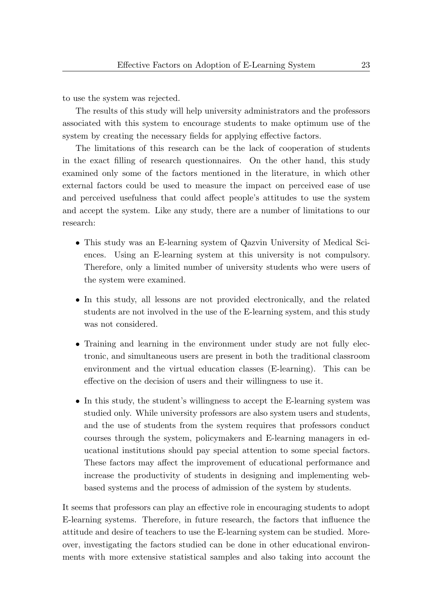to use the system was rejected.

The results of this study will help university administrators and the professors associated with this system to encourage students to make optimum use of the system by creating the necessary fields for applying effective factors.

The limitations of this research can be the lack of cooperation of students in the exact filling of research questionnaires. On the other hand, this study examined only some of the factors mentioned in the literature, in which other external factors could be used to measure the impact on perceived ease of use and perceived usefulness that could affect people's attitudes to use the system and accept the system. Like any study, there are a number of limitations to our research:

- This study was an E-learning system of Qazvin University of Medical Sciences. Using an E-learning system at this university is not compulsory. Therefore, only a limited number of university students who were users of the system were examined.
- In this study, all lessons are not provided electronically, and the related students are not involved in the use of the E-learning system, and this study was not considered.
- Training and learning in the environment under study are not fully electronic, and simultaneous users are present in both the traditional classroom environment and the virtual education classes (E-learning). This can be effective on the decision of users and their willingness to use it.
- In this study, the student's willingness to accept the E-learning system was studied only. While university professors are also system users and students, and the use of students from the system requires that professors conduct courses through the system, policymakers and E-learning managers in educational institutions should pay special attention to some special factors. These factors may affect the improvement of educational performance and increase the productivity of students in designing and implementing webbased systems and the process of admission of the system by students.

It seems that professors can play an effective role in encouraging students to adopt E-learning systems. Therefore, in future research, the factors that influence the attitude and desire of teachers to use the E-learning system can be studied. Moreover, investigating the factors studied can be done in other educational environments with more extensive statistical samples and also taking into account the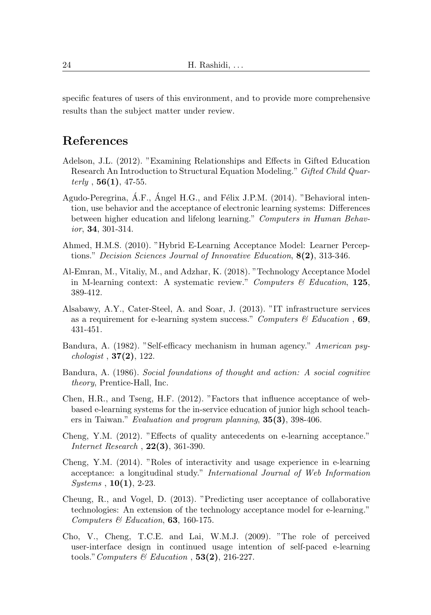specific features of users of this environment, and to provide more comprehensive results than the subject matter under review.

# References

- <span id="page-23-10"></span>Adelson, J.L. (2012). "Examining Relationships and Effects in Gifted Education Research An Introduction to Structural Equation Modeling." Gifted Child Quar $terly$ , 56(1), 47-55.
- <span id="page-23-7"></span>Agudo-Peregrina, A.F., Angel H.G., and Félix J.P.M. (2014). "Behavioral intention, use behavior and the acceptance of electronic learning systems: Differences between higher education and lifelong learning." Computers in Human Behavior, 34, 301-314.
- Ahmed, H.M.S. (2010). "Hybrid E-Learning Acceptance Model: Learner Perceptions." Decision Sciences Journal of Innovative Education, 8(2), 313-346.
- <span id="page-23-1"></span>Al-Emran, M., Vitaliy, M., and Adzhar, K. (2018). "Technology Acceptance Model in M-learning context: A systematic review." Computers  $\mathcal C$  Education, 125, 389-412.
- <span id="page-23-4"></span>Alsabawy, A.Y., Cater-Steel, A. and Soar, J. (2013). "IT infrastructure services as a requirement for e-learning system success." Computers  $\mathscr$  Education , 69, 431-451.
- <span id="page-23-9"></span>Bandura, A. (1982). "Self-efficacy mechanism in human agency." American psy*chologist* , **37(2)**, 122.
- <span id="page-23-0"></span>Bandura, A. (1986). Social foundations of thought and action: A social cognitive theory, Prentice-Hall, Inc.
- <span id="page-23-3"></span>Chen, H.R., and Tseng, H.F. (2012). "Factors that influence acceptance of webbased e-learning systems for the in-service education of junior high school teachers in Taiwan." Evaluation and program planning, 35(3), 398-406.
- <span id="page-23-2"></span>Cheng, Y.M. (2012). "Effects of quality antecedents on e-learning acceptance." Internet Research , 22(3), 361-390.
- <span id="page-23-6"></span>Cheng, Y.M. (2014). "Roles of interactivity and usage experience in e-learning acceptance: a longitudinal study." International Journal of Web Information  $Systems, 10(1), 2-23.$
- <span id="page-23-5"></span>Cheung, R., and Vogel, D. (2013). "Predicting user acceptance of collaborative technologies: An extension of the technology acceptance model for e-learning." Computers  $\mathcal C$  Education, 63, 160-175.
- <span id="page-23-8"></span>Cho, V., Cheng, T.C.E. and Lai, W.M.J. (2009). "The role of perceived user-interface design in continued usage intention of self-paced e-learning tools." Computers & Education ,  $53(2)$ , 216-227.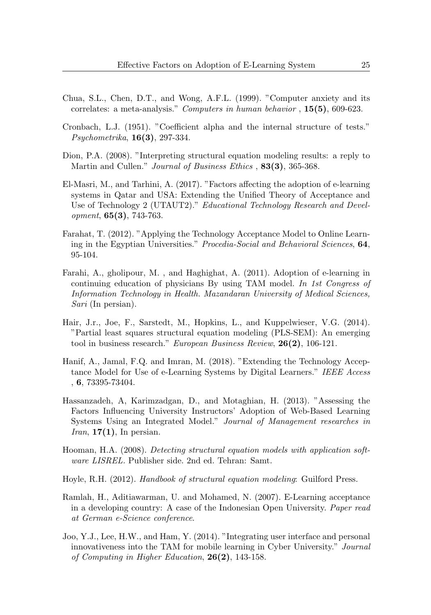- <span id="page-24-7"></span>Chua, S.L., Chen, D.T., and Wong, A.F.L. (1999). "Computer anxiety and its correlates: a meta-analysis." Computers in human behavior , 15(5), 609-623.
- <span id="page-24-12"></span>Cronbach, L.J. (1951). "Coefficient alpha and the internal structure of tests." Psychometrika, 16(3), 297-334.
- <span id="page-24-11"></span>Dion, P.A. (2008). "Interpreting structural equation modeling results: a reply to Martin and Cullen." *Journal of Business Ethics* , **83(3)**, 365-368.
- <span id="page-24-5"></span>El-Masri, M., and Tarhini, A. (2017). "Factors affecting the adoption of e-learning systems in Qatar and USA: Extending the Unified Theory of Acceptance and Use of Technology 2 (UTAUT2)." Educational Technology Research and Development, 65(3), 743-763.
- <span id="page-24-3"></span>Farahat, T. (2012). "Applying the Technology Acceptance Model to Online Learning in the Egyptian Universities." Procedia-Social and Behavioral Sciences, 64, 95-104.
- <span id="page-24-0"></span>Farahi, A., gholipour, M. , and Haghighat, A. (2011). Adoption of e-learning in continuing education of physicians By using TAM model. In 1st Congress of Information Technology in Health. Mazandaran University of Medical Sciences, Sari (In persian).
- <span id="page-24-8"></span>Hair, J.r., Joe, F., Sarstedt, M., Hopkins, L., and Kuppelwieser, V.G. (2014). "Partial least squares structural equation modeling (PLS-SEM): An emerging tool in business research." European Business Review, 26(2), 106-121.
- <span id="page-24-2"></span>Hanif, A., Jamal, F.Q. and Imran, M. (2018). "Extending the Technology Acceptance Model for Use of e-Learning Systems by Digital Learners." IEEE Access , 6, 73395-73404.
- <span id="page-24-1"></span>Hassanzadeh, A, Karimzadgan, D., and Motaghian, H. (2013). "Assessing the Factors Influencing University Instructors' Adoption of Web-Based Learning Systems Using an Integrated Model." Journal of Management researches in *Iran*,  $17(1)$ , In persian.
- <span id="page-24-9"></span>Hooman, H.A. (2008). Detecting structural equation models with application software LISREL. Publisher side. 2nd ed. Tehran: Samt.
- <span id="page-24-10"></span>Hoyle, R.H. (2012). Handbook of structural equation modeling: Guilford Press.
- <span id="page-24-6"></span>Ramlah, H., Aditiawarman, U. and Mohamed, N. (2007). E-Learning acceptance in a developing country: A case of the Indonesian Open University. Paper read at German e-Science conference.
- <span id="page-24-4"></span>Joo, Y.J., Lee, H.W., and Ham, Y. (2014). "Integrating user interface and personal innovativeness into the TAM for mobile learning in Cyber University." Journal of Computing in Higher Education, 26(2), 143-158.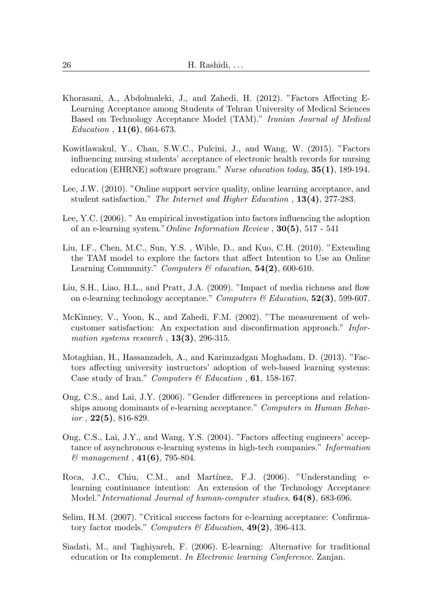- <span id="page-25-0"></span>Khorasani, A., Abdolmaleki, J., and Zahedi, H. (2012). "Factors Affecting E-Learning Acceptance among Students of Tehran University of Medical Sciences Based on Technology Acceptance Model (TAM)." Iranian Journal of Medical  $Education, 11(6), 664-673.$
- <span id="page-25-5"></span>Kowitlawakul, Y., Chan, S.W.C., Pulcini, J., and Wang, W. (2015). "Factors influencing nursing students' acceptance of electronic health records for nursing education (EHRNE) software program." Nurse education today, 35(1), 189-194.
- <span id="page-25-9"></span>Lee, J.W. (2010). "Online support service quality, online learning acceptance, and student satisfaction." The Internet and Higher Education , 13(4), 277-283.
- <span id="page-25-7"></span>Lee, Y.C. (2006). " An empirical investigation into factors influencing the adoption of an e-learning system."Online Information Review , 30(5), 517 - 541
- <span id="page-25-12"></span>Liu, I.F., Chen, M.C., Sun, Y.S. , Wible, D., and Kuo, C.H. (2010). "Extending the TAM model to explore the factors that affect Intention to Use an Online Learning Community." Computers  $\mathcal B$  education,  $54(2)$ , 600-610.
- <span id="page-25-11"></span>Liu, S.H., Liao, H.L., and Pratt, J.A. (2009). "Impact of media richness and flow on e-learning technology acceptance." Computers & Education,  $52(3)$ , 599-607.
- <span id="page-25-6"></span>McKinney, V., Yoon, K., and Zahedi, F.M. (2002). "The measurement of webcustomer satisfaction: An expectation and disconfirmation approach." Information systems research,  $13(3)$ , 296-315.
- <span id="page-25-4"></span>Motaghian, H., Hassanzadeh, A., and Karimzadgan Moghadam, D. (2013). "Factors affecting university instructors' adoption of web-based learning systems: Case study of Iran." Computers & Education ,  $61$ , 158-167.
- <span id="page-25-1"></span>Ong, C.S., and Lai, J.Y. (2006). "Gender differences in perceptions and relationships among dominants of e-learning acceptance." Computers in Human Behav $ior$ ,  $22(5)$ ,  $816-829$ .
- <span id="page-25-10"></span>Ong, C.S., Lai, J.Y., and Wang, Y.S. (2004). "Factors affecting engineers' acceptance of asynchronous e-learning systems in high-tech companies." Information  $& management, 41(6), 795-804.$
- <span id="page-25-8"></span>Roca, J.C., Chiu, C.M., and Martínez, F.J. (2006). "Understanding elearning continuance intention: An extension of the Technology Acceptance Model." International Journal of human-computer studies, **64(8)**, 683-696.
- <span id="page-25-3"></span>Selim, H.M. (2007). "Critical success factors for e-learning acceptance: Confirmatory factor models." Computers & Education,  $49(2)$ , 396-413.
- <span id="page-25-2"></span>Siadati, M., and Taghiyareh, F. (2006). E-learning: Alternative for traditional education or Its complement. In Electronic learning Conference. Zanjan.